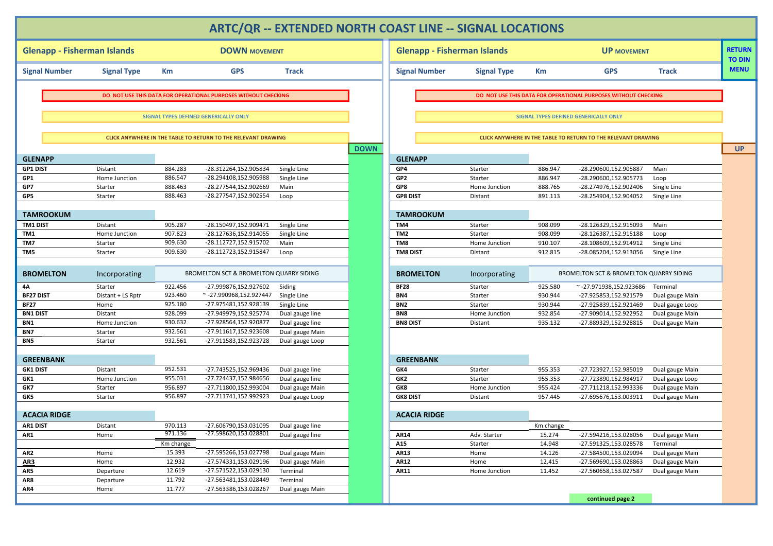|                                    |                    |                    |                                                                      |                             |             | <b>ARTC/QR -- EXTENDED NORTH COAST LINE -- SIGNAL LOCATIONS</b> |                          |                    |                                                                |                            |                                |
|------------------------------------|--------------------|--------------------|----------------------------------------------------------------------|-----------------------------|-------------|-----------------------------------------------------------------|--------------------------|--------------------|----------------------------------------------------------------|----------------------------|--------------------------------|
|                                    |                    |                    |                                                                      |                             |             |                                                                 |                          |                    |                                                                |                            |                                |
| <b>Glenapp - Fisherman Islands</b> |                    |                    | <b>DOWN MOVEMENT</b>                                                 |                             |             | <b>Glenapp - Fisherman Islands</b>                              |                          |                    | <b>UP MOVEMENT</b>                                             |                            | <b>RETURN</b><br><b>TO DIN</b> |
| <b>Signal Number</b>               | <b>Signal Type</b> | Кm                 | <b>GPS</b>                                                           | <b>Track</b>                |             | <b>Signal Number</b>                                            | <b>Signal Type</b>       | Km                 | <b>GPS</b>                                                     | <b>Track</b>               | <b>MENU</b>                    |
|                                    |                    |                    |                                                                      |                             |             |                                                                 |                          |                    |                                                                |                            |                                |
|                                    |                    |                    | DO NOT USE THIS DATA FOR OPERATIONAL PURPOSES WITHOUT CHECKING       |                             |             |                                                                 |                          |                    | DO NOT USE THIS DATA FOR OPERATIONAL PURPOSES WITHOUT CHECKING |                            |                                |
|                                    |                    |                    | <b>SIGNAL TYPES DEFINED GENERICALLY ONLY</b>                         |                             |             |                                                                 |                          |                    | SIGNAL TYPES DEFINED GENERICALLY ONLY                          |                            |                                |
|                                    |                    |                    |                                                                      |                             |             |                                                                 |                          |                    |                                                                |                            |                                |
|                                    |                    |                    | <b>CLICK ANYWHERE IN THE TABLE TO RETURN TO THE RELEVANT DRAWING</b> |                             |             |                                                                 |                          |                    | CLICK ANYWHERE IN THE TABLE TO RETURN TO THE RELEVANT DRAWING  |                            |                                |
|                                    |                    |                    |                                                                      |                             | <b>DOWN</b> |                                                                 |                          |                    |                                                                |                            | <b>UP</b>                      |
| <b>GLENAPP</b>                     |                    |                    |                                                                      |                             |             | <b>GLENAPP</b>                                                  |                          |                    |                                                                |                            |                                |
| <b>GP1 DIST</b>                    | Distant            | 884.283            | -28.312264,152.905834                                                | Single Line                 |             | GP4                                                             | Starter                  | 886.947            | -28.290600,152.905887                                          | Main                       |                                |
| GP1                                | Home Junction      | 886.547            | -28.294108,152.905988                                                | Single Line                 |             | GP <sub>2</sub>                                                 | Starter                  | 886.947            | -28.290600,152.905773                                          | Loop                       |                                |
| GP7<br>GP5                         | Starter<br>Starter | 888.463<br>888.463 | -28.277544,152.902669<br>-28.277547,152.902554                       | Main<br>Loop                |             | GP8<br><b>GP8 DIST</b>                                          | Home Junction<br>Distant | 888.765<br>891.113 | -28.274976,152.902406<br>-28.254904,152.904052                 | Single Line<br>Single Line |                                |
|                                    |                    |                    |                                                                      |                             |             |                                                                 |                          |                    |                                                                |                            |                                |
| <b>TAMROOKUM</b>                   |                    |                    |                                                                      |                             |             | <b>TAMROOKUM</b>                                                |                          |                    |                                                                |                            |                                |
| <b>TM1 DIST</b>                    | Distant            | 905.287            | -28.150497,152.909471                                                | Single Line                 |             | TM4                                                             | Starter                  | 908.099            | -28.126329,152.915093                                          | Main                       |                                |
| TM1                                | Home Junction      | 907.823            | -28.127636,152.914055                                                | Single Line                 |             | TM <sub>2</sub>                                                 | Starter                  | 908.099            | -28.126387,152.915188                                          | Loop                       |                                |
| TM7                                | Starter            | 909.630            | -28.112727,152.915702                                                | Main                        |             | TM8                                                             | Home Junction            | 910.107            | -28.108609,152.914912                                          | Single Line                |                                |
| TM5                                | Starter            | 909.630            | -28.112723,152.915847                                                | Loop                        |             | <b>TM8 DIST</b>                                                 | Distant                  | 912.815            | -28.085204,152.913056                                          | Single Line                |                                |
|                                    |                    |                    |                                                                      |                             |             |                                                                 |                          |                    |                                                                |                            |                                |
| <b>BROMELTON</b>                   | Incorporating      |                    | BROMELTON SCT & BROMELTON QUARRY SIDING                              |                             |             | <b>BROMELTON</b>                                                | Incorporating            |                    | BROMELTON SCT & BROMELTON QUARRY SIDING                        |                            |                                |
| 4A                                 | Starter            | 922.456            | -27.999876,152.927602                                                | Siding                      |             | <b>BF28</b>                                                     | Starter                  | 925.580            | $\sim$ -27.971938,152.923686                                   | Terminal                   |                                |
| <b>BF27 DIST</b>                   | Distant + LS Rptr  | 923.460            | $\sim$ -27.990968,152.927447                                         | Single Line                 |             | BN4                                                             | Starter                  | 930.944            | -27.925853,152.921579                                          | Dual gauge Main            |                                |
| <b>BF27</b>                        | Home               | 925.180            | -27.975481,152.928139                                                | Single Line                 |             | BN <sub>2</sub>                                                 | Starter                  | 930.944            | -27.925839,152.921469                                          | Dual gauge Loop            |                                |
| <b>BN1 DIST</b>                    | Distant            | 928.099            | -27.949979,152.925774                                                | Dual gauge line             |             | BN <sub>8</sub>                                                 | Home Junction            | 932.854            | -27.909014,152.922952                                          | Dual gauge Main            |                                |
| BN <sub>1</sub>                    | Home Junction      | 930.632            | -27.928564,152.920877                                                | Dual gauge line             |             | <b>BN8 DIST</b>                                                 | Distant                  | 935.132            | -27.889329,152.928815                                          | Dual gauge Main            |                                |
| BN7                                | Starter            | 932.561            | -27.911617,152.923608                                                | Dual gauge Main             |             |                                                                 |                          |                    |                                                                |                            |                                |
| BN <sub>5</sub>                    | Starter            | 932.561            | -27.911583,152.923728                                                | Dual gauge Loop             |             |                                                                 |                          |                    |                                                                |                            |                                |
| <b>GREENBANK</b>                   |                    |                    |                                                                      |                             |             | <b>GREENBANK</b>                                                |                          |                    |                                                                |                            |                                |
| <b>GK1 DIST</b>                    | Distant            | 952.531            | -27.743525,152.969436                                                | Dual gauge line             |             | GK4                                                             | Starter                  | 955.353            | -27.723927,152.985019                                          | Dual gauge Main            |                                |
| GK1                                | Home Junction      | 955.031            | -27.724437,152.984656                                                | Dual gauge line             |             | GK2                                                             | Starter                  | 955.353            | -27.723890,152.984917                                          | Dual gauge Loop            |                                |
| GK7                                | Starter            | 956.897            | -27.711800,152.993004                                                | Dual gauge Main             |             | GK8                                                             | Home Junction            | 955.424            | -27.711218,152.993336                                          | Dual gauge Main            |                                |
| GK5                                | Starter            | 956.897            | -27.711741,152.992923                                                | Dual gauge Loop             |             | <b>GK8 DIST</b>                                                 | Distant                  | 957.445            | -27.695676,153.003911                                          | Dual gauge Main            |                                |
|                                    |                    |                    |                                                                      |                             |             |                                                                 |                          |                    |                                                                |                            |                                |
| <b>ACACIA RIDGE</b>                |                    |                    |                                                                      |                             |             | <b>ACACIA RIDGE</b>                                             |                          |                    |                                                                |                            |                                |
| <b>AR1 DIST</b>                    | Distant            | 970.113            | -27.606790,153.031095                                                | Dual gauge line             |             |                                                                 |                          | Km change          |                                                                |                            |                                |
| AR1                                | Home               | 971.136            | -27.598620,153.028801                                                | Dual gauge line             |             | AR14                                                            | Adv. Starter             | 15.274             | -27.594216,153.028056                                          | Dual gauge Main            |                                |
|                                    |                    | Km change          |                                                                      |                             |             | A15                                                             | Starter                  | 14.948             | -27.591325,153.028578                                          | Terminal                   |                                |
| AR <sub>2</sub>                    | Home               | 15.393             | -27.595266,153.027798                                                | Dual gauge Main             |             | <b>AR13</b>                                                     | Home                     | 14.126             | -27.584500,153.029094                                          | Dual gauge Main            |                                |
| <b>AR3</b>                         | Home               | 12.932             | -27.574331,153.029196                                                | Dual gauge Main             |             | AR12                                                            | Home                     | 12.415             | -27.569690,153.028863                                          | Dual gauge Main            |                                |
| AR5                                | Departure          | 12.619<br>11.792   | -27.571522,153.029130<br>-27.563481,153.028449                       | Terminal                    |             | <b>AR11</b>                                                     | Home Junction            | 11.452             | -27.560658,153.027587                                          | Dual gauge Main            |                                |
| AR8<br>AR4                         | Departure<br>Home  | 11.777             | -27.563386,153.028267                                                | Terminal<br>Dual gauge Main |             |                                                                 |                          |                    |                                                                |                            |                                |
|                                    |                    |                    |                                                                      |                             |             |                                                                 |                          |                    | continued page 2                                               |                            |                                |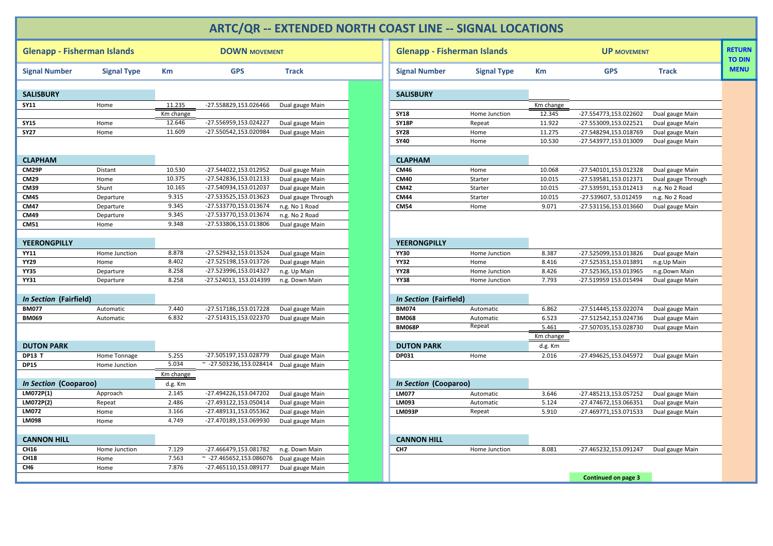## **ARTC/QR ‐‐ EXTENDED NORTH COAST LINE ‐‐ SIGNAL LOCATIONS**

| <b>Glenapp - Fisherman Islands</b> |                               |           | <b>DOWN MOVEMENT</b>             |                                    | <b>Glenapp - Fisherman Islands</b> |                    |           | <b>UP MOVEMENT</b>    |                    |
|------------------------------------|-------------------------------|-----------|----------------------------------|------------------------------------|------------------------------------|--------------------|-----------|-----------------------|--------------------|
| <b>Signal Number</b>               | <b>Signal Type</b>            | Km        | <b>GPS</b>                       | <b>Track</b>                       | <b>Signal Number</b>               | <b>Signal Type</b> | Km        | <b>GPS</b>            | <b>Track</b>       |
| <b>SALISBURY</b>                   |                               |           |                                  |                                    | <b>SALISBURY</b>                   |                    |           |                       |                    |
| <b>SY11</b>                        | Home                          | 11.235    | -27.558829,153.026466            | Dual gauge Main                    |                                    |                    | Km change |                       |                    |
|                                    |                               | Km change |                                  |                                    | <b>SY18</b>                        | Home Junction      | 12.345    | -27.554773,153.022602 | Dual gauge Main    |
| <b>SY15</b>                        | Home                          | 12.646    | -27.556959,153.024227            | Dual gauge Main                    | <b>SY18P</b>                       | Repeat             | 11.922    | -27.553009,153.022521 | Dual gauge Main    |
| <b>SY27</b>                        | Home                          | 11.609    | -27.550542,153.020984            | Dual gauge Main                    | <b>SY28</b>                        | Home               | 11.275    | -27.548294,153.018769 | Dual gauge Main    |
|                                    |                               |           |                                  |                                    | <b>SY40</b>                        | Home               | 10.530    | -27.543977,153.013009 | Dual gauge Main    |
|                                    |                               |           |                                  |                                    |                                    |                    |           |                       |                    |
| <b>CLAPHAM</b>                     |                               |           |                                  |                                    | <b>CLAPHAM</b>                     |                    |           |                       |                    |
| CM29P                              | Distant                       | 10.530    | -27.544022,153.012952            | Dual gauge Main                    | <b>CM46</b>                        | Home               | 10.068    | -27.540101,153.012328 | Dual gauge Main    |
| <b>CM29</b>                        | Home                          | 10.375    | -27.542836,153.012133            | Dual gauge Main                    | <b>CM40</b>                        | Starter            | 10.015    | -27.539581,153.012371 | Dual gauge Through |
| <b>CM39</b>                        | Shunt                         | 10.165    | -27.540934,153.012037            | Dual gauge Main                    | <b>CM42</b>                        | Starter            | 10.015    | -27.539591,153.012413 | n.g. No 2 Road     |
| CM45                               | Departure                     | 9.315     | -27.533525,153.013623            | Dual gauge Through                 | <b>CM44</b>                        | Starter            | 10.015    | -27.539607, 53.012459 | n.g. No 2 Road     |
| <b>CM47</b>                        | Departure                     | 9.345     | -27.533770,153.013674            | n.g. No 1 Road                     | <b>CM54</b>                        | Home               | 9.071     | -27.531156,153.013660 | Dual gauge Main    |
| CM49                               | Departure                     | 9.345     | -27.533770,153.013674            | n.g. No 2 Road                     |                                    |                    |           |                       |                    |
| <b>CM51</b>                        | Home                          | 9.348     | -27.533806,153.013806            | Dual gauge Main                    |                                    |                    |           |                       |                    |
|                                    |                               |           |                                  |                                    |                                    |                    |           |                       |                    |
| <b>YEERONGPILLY</b>                |                               |           |                                  |                                    | <b>YEERONGPILLY</b>                |                    |           |                       |                    |
| <b>YY11</b>                        | Home Junction                 | 8.878     | -27.529432,153.013524            | Dual gauge Main                    | <b>YY30</b>                        | Home Junction      | 8.387     | -27.525099,153.013826 | Dual gauge Main    |
| <b>YY29</b>                        | Home                          | 8.402     | -27.525198,153.013726            | Dual gauge Main                    | <b>YY32</b>                        | Home               | 8.416     | -27.525353,153.013891 | n.g.Up Main        |
| <b>YY35</b>                        | Departure                     | 8.258     | -27.523996,153.014327            | n.g. Up Main                       | <b>YY28</b>                        | Home Junction      | 8.426     | -27.525365,153.013965 | n.g.Down Main      |
| <b>YY31</b>                        | Departure                     | 8.258     | -27.524013, 153.014399           | n.g. Down Main                     | <b>YY38</b>                        | Home Junction      | 7.793     | -27.519959 153.015494 | Dual gauge Main    |
|                                    |                               |           |                                  |                                    |                                    |                    |           |                       |                    |
| In Section (Fairfield)             |                               |           |                                  |                                    | In Section (Fairfield)             |                    |           |                       |                    |
| <b>BM077</b>                       | Automatic                     | 7.440     | -27.517186,153.017228            | Dual gauge Main                    | <b>BM074</b>                       | Automatic          | 6.862     | -27.514445,153.022074 | Dual gauge Main    |
| <b>BM069</b>                       | Automatic                     | 6.832     | -27.514315,153.022370            | Dual gauge Main                    | <b>BM068</b>                       | Automatic          | 6.523     | -27.512542,153.024736 | Dual gauge Main    |
|                                    |                               |           |                                  |                                    | <b>BM068P</b>                      | Repeat             | 5.461     | -27.507035,153.028730 | Dual gauge Main    |
|                                    |                               |           |                                  |                                    |                                    |                    | Km change |                       |                    |
| <b>DUTON PARK</b>                  |                               |           |                                  |                                    | <b>DUTON PARK</b>                  |                    | d.g. Km   |                       |                    |
| <b>DP13 T</b>                      |                               | 5.255     | -27.505197,153.028779            |                                    | DP031                              | Home               | 2.016     | -27.494625,153.045972 | Dual gauge Main    |
| <b>DP15</b>                        | Home Tonnage<br>Home Junction | 5.034     | $~^{\sim}$ -27.503236,153.028414 | Dual gauge Main                    |                                    |                    |           |                       |                    |
|                                    |                               | Km change |                                  | Dual gauge Main                    |                                    |                    |           |                       |                    |
| In Section (Cooparoo)              |                               | d.g. Km   |                                  |                                    | In Section (Cooparoo)              |                    |           |                       |                    |
| LM072P(1)                          | Approach                      | 2.145     | -27.494226,153.047202            | Dual gauge Main                    | <b>LM077</b>                       | Automatic          | 3.646     | -27.485213,153.057252 | Dual gauge Main    |
| LM072P(2)                          | Repeat                        | 2.486     | -27.493122,153.050414            | Dual gauge Main                    | LM093                              | Automatic          | 5.124     | -27.474672,153.066351 | Dual gauge Main    |
| LM072                              |                               | 3.166     | -27.489131,153.055362            |                                    | <b>LM093P</b>                      |                    | 5.910     | -27.469771,153.071533 |                    |
| <b>LM098</b>                       | Home<br>Home                  | 4.749     | -27.470189,153.069930            | Dual gauge Main<br>Dual gauge Main |                                    | Repeat             |           |                       | Dual gauge Main    |
|                                    |                               |           |                                  |                                    |                                    |                    |           |                       |                    |
| <b>CANNON HILL</b>                 |                               |           |                                  |                                    | <b>CANNON HILL</b>                 |                    |           |                       |                    |
| CH16                               | Home Junction                 | 7.129     | -27.466479,153.081782            | n.g. Down Main                     | CH <sub>7</sub>                    | Home Junction      | 8.081     | -27.465232,153.091247 | Dual gauge Main    |
| <b>CH18</b>                        | Home                          | 7.563     | $\sim$ -27.465652,153.086076     | Dual gauge Main                    |                                    |                    |           |                       |                    |
| CH6                                | Home                          | 7.876     | -27.465110,153.089177            | Dual gauge Main                    |                                    |                    |           |                       |                    |
|                                    |                               |           |                                  |                                    |                                    |                    |           | Continued on page 3   |                    |

<span id="page-1-0"></span>

| <b>Glenapp - Fisherman Islands</b> |                    |           | <b>DOWN MOVEMENT</b>         |                    | <b>Glenapp - Fisherman Islands</b> |                    |           | <b>UP MOVEMENT</b>         |                    | <b>RETURN</b><br><b>TO DIN</b> |
|------------------------------------|--------------------|-----------|------------------------------|--------------------|------------------------------------|--------------------|-----------|----------------------------|--------------------|--------------------------------|
| <b>Signal Number</b>               | <b>Signal Type</b> | Кm        | <b>GPS</b>                   | <b>Track</b>       | <b>Signal Number</b>               | <b>Signal Type</b> | Кm        | <b>GPS</b>                 | <b>Track</b>       | <b>MENU</b>                    |
| SALISBURY                          |                    |           |                              |                    | <b>SALISBURY</b>                   |                    |           |                            |                    |                                |
| SY11                               | Home               | 11.235    | -27.558829,153.026466        | Dual gauge Main    |                                    |                    | Km change |                            |                    |                                |
|                                    |                    | Km change |                              |                    | <b>SY18</b>                        | Home Junction      | 12.345    | -27.554773,153.022602      | Dual gauge Main    |                                |
| SY 15                              | Home               | 12.646    | -27.556959,153.024227        | Dual gauge Main    | <b>SY18P</b>                       | Repeat             | 11.922    | -27.553009,153.022521      | Dual gauge Main    |                                |
| SY27                               | Home               | 11.609    | -27.550542,153.020984        | Dual gauge Main    | <b>SY28</b>                        | Home               | 11.275    | -27.548294,153.018769      | Dual gauge Main    |                                |
|                                    |                    |           |                              |                    | <b>SY40</b>                        | Home               | 10.530    | -27.543977,153.013009      | Dual gauge Main    |                                |
| CLAPHAM                            |                    |           |                              |                    | <b>CLAPHAM</b>                     |                    |           |                            |                    |                                |
| CM29P                              | Distant            | 10.530    | -27.544022,153.012952        | Dual gauge Main    | CM46                               | Home               | 10.068    | -27.540101,153.012328      | Dual gauge Main    |                                |
| CM29                               | Home               | 10.375    | -27.542836,153.012133        | Dual gauge Main    | <b>CM40</b>                        | Starter            | 10.015    | -27.539581,153.012371      | Dual gauge Through |                                |
| CM39                               | Shunt              | 10.165    | -27.540934,153.012037        | Dual gauge Main    | <b>CM42</b>                        | Starter            | 10.015    | -27.539591,153.012413      | n.g. No 2 Road     |                                |
| CM45                               | Departure          | 9.315     | -27.533525,153.013623        | Dual gauge Through | <b>CM44</b>                        | Starter            | 10.015    | -27.539607, 53.012459      | n.g. No 2 Road     |                                |
| CM47                               | Departure          | 9.345     | -27.533770,153.013674        | n.g. No 1 Road     | <b>CM54</b>                        | Home               | 9.071     | -27.531156,153.013660      | Dual gauge Main    |                                |
| CM49                               | Departure          | 9.345     | -27.533770,153.013674        | n.g. No 2 Road     |                                    |                    |           |                            |                    |                                |
| CM51                               | Home               | 9.348     | -27.533806,153.013806        | Dual gauge Main    |                                    |                    |           |                            |                    |                                |
| YEERONGPILLY                       |                    |           |                              |                    | <b>YEERONGPILLY</b>                |                    |           |                            |                    |                                |
| YY11                               | Home Junction      | 8.878     | -27.529432,153.013524        | Dual gauge Main    | <b>YY30</b>                        | Home Junction      | 8.387     | -27.525099,153.013826      | Dual gauge Main    |                                |
| YY29                               | Home               | 8.402     | -27.525198,153.013726        | Dual gauge Main    | <b>YY32</b>                        | Home               | 8.416     | -27.525353,153.013891      | n.g.Up Main        |                                |
| YY35                               | Departure          | 8.258     | -27.523996,153.014327        | n.g. Up Main       | <b>YY28</b>                        | Home Junction      | 8.426     | -27.525365,153.013965      | n.g.Down Main      |                                |
| YY31                               | Departure          | 8.258     | -27.524013, 153.014399       | n.g. Down Main     | <b>YY38</b>                        | Home Junction      | 7.793     | -27.519959 153.015494      | Dual gauge Main    |                                |
| <i>In Section</i> (Fairfield)      |                    |           |                              |                    | In Section (Fairfield)             |                    |           |                            |                    |                                |
| BM077                              | Automatic          | 7.440     | -27.517186,153.017228        | Dual gauge Main    | <b>BM074</b>                       | Automatic          | 6.862     | -27.514445,153.022074      | Dual gauge Main    |                                |
| BM069                              | Automatic          | 6.832     | -27.514315,153.022370        | Dual gauge Main    | <b>BM068</b>                       | Automatic          | 6.523     | -27.512542,153.024736      | Dual gauge Main    |                                |
|                                    |                    |           |                              |                    | <b>BM068P</b>                      | Repeat             | 5.461     | -27.507035,153.028730      | Dual gauge Main    |                                |
|                                    |                    |           |                              |                    |                                    |                    | Km change |                            |                    |                                |
| <b>DUTON PARK</b>                  |                    |           |                              |                    | <b>DUTON PARK</b>                  |                    | d.g. Km   |                            |                    |                                |
| DP13 T                             | Home Tonnage       | 5.255     | -27.505197,153.028779        | Dual gauge Main    | DP031                              | Home               | 2.016     | -27.494625,153.045972      | Dual gauge Main    |                                |
| DP15                               | Home Junction      | 5.034     | $\sim$ -27.503236,153.028414 | Dual gauge Main    |                                    |                    |           |                            |                    |                                |
|                                    |                    | Km change |                              |                    |                                    |                    |           |                            |                    |                                |
| In Section (Cooparoo)              |                    | d.g. Km   |                              |                    | In Section (Cooparoo)              |                    |           |                            |                    |                                |
| LM072P(1)                          | Approach           | 2.145     | -27.494226,153.047202        | Dual gauge Main    | LM077                              | Automatic          | 3.646     | -27.485213,153.057252      | Dual gauge Main    |                                |
| LM072P(2)                          | Repeat             | 2.486     | -27.493122,153.050414        | Dual gauge Main    | LM093                              | Automatic          | 5.124     | -27.474672,153.066351      | Dual gauge Main    |                                |
| LM072                              | Home               | 3.166     | -27.489131,153.055362        | Dual gauge Main    | <b>LM093P</b>                      | Repeat             | 5.910     | -27.469771,153.071533      | Dual gauge Main    |                                |
| <b>LM098</b>                       | Home               | 4.749     | -27.470189,153.069930        | Dual gauge Main    |                                    |                    |           |                            |                    |                                |
| <b>CANNON HILL</b>                 |                    |           |                              |                    | <b>CANNON HILL</b>                 |                    |           |                            |                    |                                |
| CH16                               | Home Junction      | 7.129     | -27.466479,153.081782        | n.g. Down Main     | CH <sub>7</sub>                    | Home Junction      | 8.081     | -27.465232,153.091247      | Dual gauge Main    |                                |
| CH18                               | Home               | 7.563     | $\sim$ -27.465652,153.086076 | Dual gauge Main    |                                    |                    |           |                            |                    |                                |
| СН6                                | Home               | 7.876     | -27.465110,153.089177        | Dual gauge Main    |                                    |                    |           |                            |                    |                                |
|                                    |                    |           |                              |                    |                                    |                    |           | <b>Continued on page 3</b> |                    |                                |